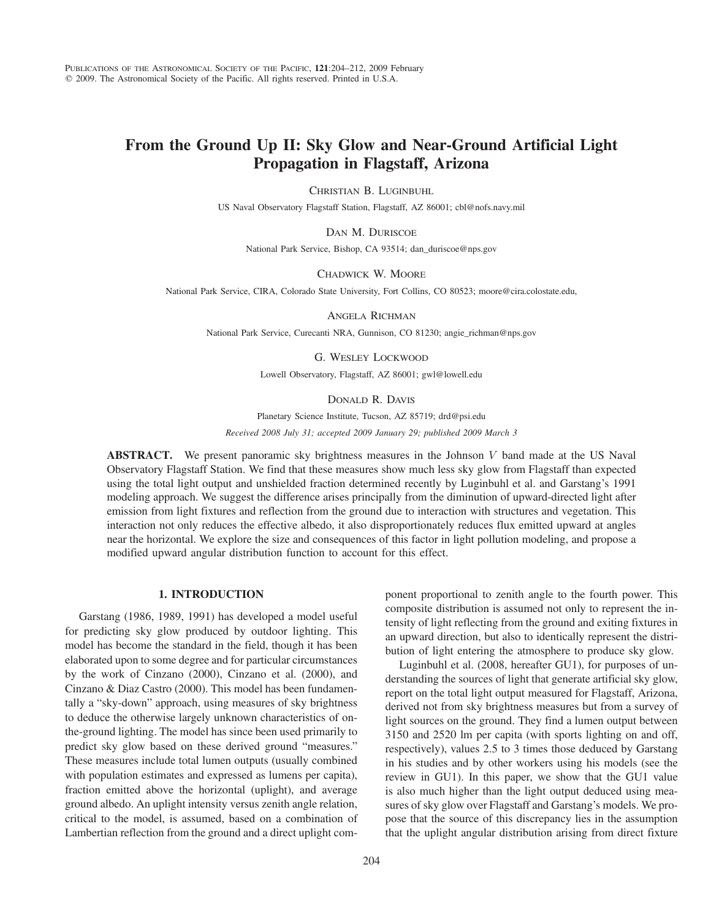# From the Ground Up II: Sky Glow and Near-Ground Artificial Light Propagation in Flagstaff, Arizona

CHRISTIAN B. LUGINBUHL

US Naval Observatory Flagstaff Station, Flagstaff, AZ 86001; cbl@nofs.navy.mil

DAN M. DURISCOE

National Park Service, Bishop, CA 93514; dan\_duriscoe@nps.gov

#### CHADWICK W. MOORE

National Park Service, CIRA, Colorado State University, Fort Collins, CO 80523; moore@cira.colostate.edu,

ANGELA RICHMAN

National Park Service, Curecanti NRA, Gunnison, CO 81230; angie\_richman@nps.gov

### G. WESLEY LOCKWOOD

Lowell Observatory, Flagstaff, AZ 86001; gwl@lowell.edu

### DONALD R. DAVIS

Planetary Science Institute, Tucson, AZ 85719; drd@psi.edu

Received 2008 July 31; accepted 2009 January 29; published 2009 March 3

**ABSTRACT.** We present panoramic sky brightness measures in the Johnson V band made at the US Naval Observatory Flagstaff Station. We find that these measures show much less sky glow from Flagstaff than expected using the total light output and unshielded fraction determined recently by Luginbuhl et al. and Garstang's 1991 modeling approach. We suggest the difference arises principally from the diminution of upward-directed light after emission from light fixtures and reflection from the ground due to interaction with structures and vegetation. This interaction not only reduces the effective albedo, it also disproportionately reduces flux emitted upward at angles near the horizontal. We explore the size and consequences of this factor in light pollution modeling, and propose a modified upward angular distribution function to account for this effect.

# 1. INTRODUCTION

Garstang (1986, 1989, 1991) has developed a model useful for predicting sky glow produced by outdoor lighting. This model has become the standard in the field, though it has been elaborated upon to some degree and for particular circumstances by the work of Cinzano (2000), Cinzano et al. (2000), and Cinzano & Diaz Castro (2000). This model has been fundamentally a "sky-down" approach, using measures of sky brightness to deduce the otherwise largely unknown characteristics of onthe-ground lighting. The model has since been used primarily to predict sky glow based on these derived ground "measures." These measures include total lumen outputs (usually combined with population estimates and expressed as lumens per capita), fraction emitted above the horizontal (uplight), and average ground albedo. An uplight intensity versus zenith angle relation, critical to the model, is assumed, based on a combination of Lambertian reflection from the ground and a direct uplight component proportional to zenith angle to the fourth power. This composite distribution is assumed not only to represent the intensity of light reflecting from the ground and exiting fixtures in an upward direction, but also to identically represent the distribution of light entering the atmosphere to produce sky glow.

Luginbuhl et al. (2008, hereafter GU1), for purposes of understanding the sources of light that generate artificial sky glow, report on the total light output measured for Flagstaff, Arizona, derived not from sky brightness measures but from a survey of light sources on the ground. They find a lumen output between 3150 and 2520 lm per capita (with sports lighting on and off, respectively), values 2.5 to 3 times those deduced by Garstang in his studies and by other workers using his models (see the review in GU1). In this paper, we show that the GU1 value is also much higher than the light output deduced using measures of sky glow over Flagstaff and Garstang's models. We propose that the source of this discrepancy lies in the assumption that the uplight angular distribution arising from direct fixture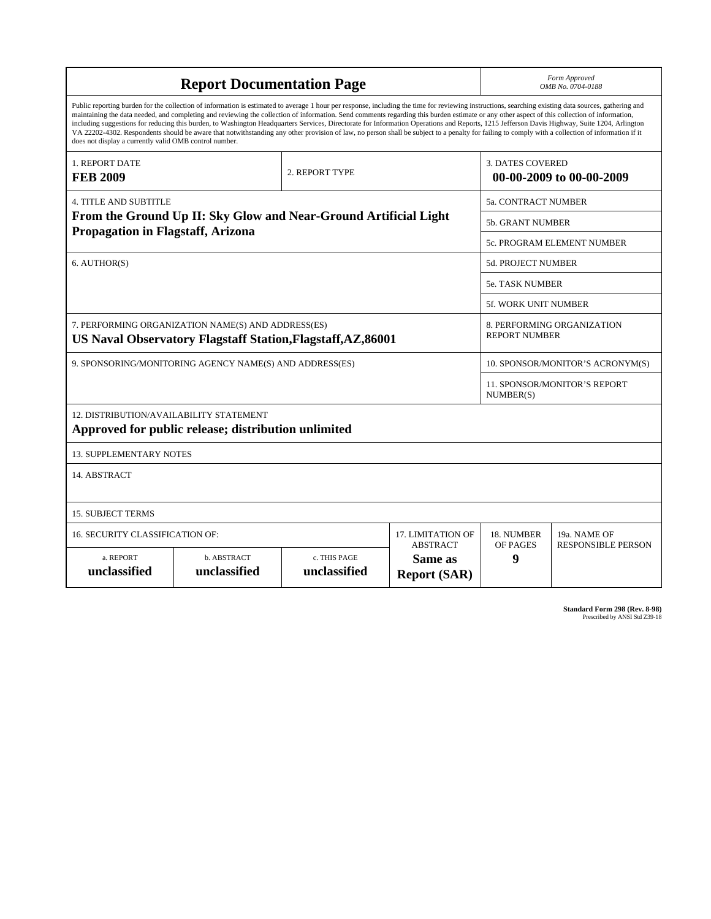|                                                                                                                                                                                                                                                                                                                                                                                                                                                                                                                                                                                                                                                                                                                                                                                                                                                                    | Form Approved<br>OMB No. 0704-0188                 |                              |                                |                                                     |                                           |  |  |
|--------------------------------------------------------------------------------------------------------------------------------------------------------------------------------------------------------------------------------------------------------------------------------------------------------------------------------------------------------------------------------------------------------------------------------------------------------------------------------------------------------------------------------------------------------------------------------------------------------------------------------------------------------------------------------------------------------------------------------------------------------------------------------------------------------------------------------------------------------------------|----------------------------------------------------|------------------------------|--------------------------------|-----------------------------------------------------|-------------------------------------------|--|--|
| Public reporting burden for the collection of information is estimated to average 1 hour per response, including the time for reviewing instructions, searching existing data sources, gathering and<br>maintaining the data needed, and completing and reviewing the collection of information. Send comments regarding this burden estimate or any other aspect of this collection of information,<br>including suggestions for reducing this burden, to Washington Headquarters Services, Directorate for Information Operations and Reports, 1215 Jefferson Davis Highway, Suite 1204, Arlington<br>VA 22202-4302. Respondents should be aware that notwithstanding any other provision of law, no person shall be subject to a penalty for failing to comply with a collection of information if it<br>does not display a currently valid OMB control number. |                                                    |                              |                                |                                                     |                                           |  |  |
| 1. REPORT DATE<br><b>FEB 2009</b>                                                                                                                                                                                                                                                                                                                                                                                                                                                                                                                                                                                                                                                                                                                                                                                                                                  |                                                    | 2. REPORT TYPE               |                                | <b>3. DATES COVERED</b><br>00-00-2009 to 00-00-2009 |                                           |  |  |
| 4. TITLE AND SUBTITLE                                                                                                                                                                                                                                                                                                                                                                                                                                                                                                                                                                                                                                                                                                                                                                                                                                              |                                                    | <b>5a. CONTRACT NUMBER</b>   |                                |                                                     |                                           |  |  |
| From the Ground Up II: Sky Glow and Near-Ground Artificial Light                                                                                                                                                                                                                                                                                                                                                                                                                                                                                                                                                                                                                                                                                                                                                                                                   | 5b. GRANT NUMBER                                   |                              |                                |                                                     |                                           |  |  |
| <b>Propagation in Flagstaff, Arizona</b>                                                                                                                                                                                                                                                                                                                                                                                                                                                                                                                                                                                                                                                                                                                                                                                                                           | 5c. PROGRAM ELEMENT NUMBER                         |                              |                                |                                                     |                                           |  |  |
| 6. AUTHOR(S)                                                                                                                                                                                                                                                                                                                                                                                                                                                                                                                                                                                                                                                                                                                                                                                                                                                       |                                                    |                              |                                |                                                     | <b>5d. PROJECT NUMBER</b>                 |  |  |
|                                                                                                                                                                                                                                                                                                                                                                                                                                                                                                                                                                                                                                                                                                                                                                                                                                                                    |                                                    |                              |                                |                                                     | 5e. TASK NUMBER                           |  |  |
|                                                                                                                                                                                                                                                                                                                                                                                                                                                                                                                                                                                                                                                                                                                                                                                                                                                                    | <b>5f. WORK UNIT NUMBER</b>                        |                              |                                |                                                     |                                           |  |  |
| 7. PERFORMING ORGANIZATION NAME(S) AND ADDRESS(ES)<br>US Naval Observatory Flagstaff Station, Flagstaff, AZ, 86001                                                                                                                                                                                                                                                                                                                                                                                                                                                                                                                                                                                                                                                                                                                                                 | 8. PERFORMING ORGANIZATION<br><b>REPORT NUMBER</b> |                              |                                |                                                     |                                           |  |  |
| 9. SPONSORING/MONITORING AGENCY NAME(S) AND ADDRESS(ES)                                                                                                                                                                                                                                                                                                                                                                                                                                                                                                                                                                                                                                                                                                                                                                                                            | 10. SPONSOR/MONITOR'S ACRONYM(S)                   |                              |                                |                                                     |                                           |  |  |
|                                                                                                                                                                                                                                                                                                                                                                                                                                                                                                                                                                                                                                                                                                                                                                                                                                                                    | 11. SPONSOR/MONITOR'S REPORT<br>NUMBER(S)          |                              |                                |                                                     |                                           |  |  |
| 12. DISTRIBUTION/AVAILABILITY STATEMENT<br>Approved for public release; distribution unlimited                                                                                                                                                                                                                                                                                                                                                                                                                                                                                                                                                                                                                                                                                                                                                                     |                                                    |                              |                                |                                                     |                                           |  |  |
| <b>13. SUPPLEMENTARY NOTES</b>                                                                                                                                                                                                                                                                                                                                                                                                                                                                                                                                                                                                                                                                                                                                                                                                                                     |                                                    |                              |                                |                                                     |                                           |  |  |
| 14. ABSTRACT                                                                                                                                                                                                                                                                                                                                                                                                                                                                                                                                                                                                                                                                                                                                                                                                                                                       |                                                    |                              |                                |                                                     |                                           |  |  |
| <b>15. SUBJECT TERMS</b>                                                                                                                                                                                                                                                                                                                                                                                                                                                                                                                                                                                                                                                                                                                                                                                                                                           |                                                    |                              |                                |                                                     |                                           |  |  |
| 16. SECURITY CLASSIFICATION OF:<br>17. LIMITATION OF<br><b>ABSTRACT</b>                                                                                                                                                                                                                                                                                                                                                                                                                                                                                                                                                                                                                                                                                                                                                                                            |                                                    |                              |                                |                                                     | 19a. NAME OF<br><b>RESPONSIBLE PERSON</b> |  |  |
| a. REPORT<br>unclassified                                                                                                                                                                                                                                                                                                                                                                                                                                                                                                                                                                                                                                                                                                                                                                                                                                          | b. ABSTRACT<br>unclassified                        | c. THIS PAGE<br>unclassified | Same as<br><b>Report (SAR)</b> | <b>OF PAGES</b><br>9                                |                                           |  |  |

**Standard Form 298 (Rev. 8-98)**<br>Prescribed by ANSI Std Z39-18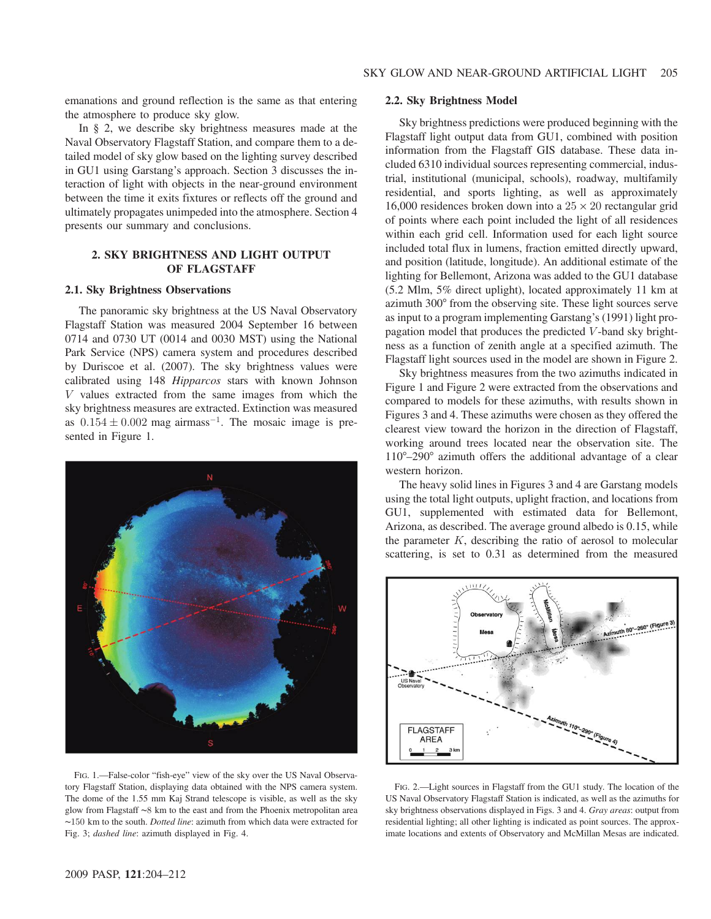emanations and ground reflection is the same as that entering the atmosphere to produce sky glow.

In § 2, we describe sky brightness measures made at the Naval Observatory Flagstaff Station, and compare them to a detailed model of sky glow based on the lighting survey described in GU1 using Garstang's approach. Section 3 discusses the interaction of light with objects in the near-ground environment between the time it exits fixtures or reflects off the ground and ultimately propagates unimpeded into the atmosphere. Section 4 presents our summary and conclusions.

## 2. SKY BRIGHTNESS AND LIGHT OUTPUT OF FLAGSTAFF

#### 2.1. Sky Brightness Observations

The panoramic sky brightness at the US Naval Observatory Flagstaff Station was measured 2004 September 16 between 0714 and 0730 UT (0014 and 0030 MST) using the National Park Service (NPS) camera system and procedures described by Duriscoe et al. (2007). The sky brightness values were calibrated using 148 Hipparcos stars with known Johnson V values extracted from the same images from which the sky brightness measures are extracted. Extinction was measured as  $0.154 \pm 0.002$  mag airmass<sup>-1</sup>. The mosaic image is presented in Figure 1.



FIG. 1.—False-color "fish-eye" view of the sky over the US Naval Observatory Flagstaff Station, displaying data obtained with the NPS camera system. The dome of the 1.55 mm Kaj Strand telescope is visible, as well as the sky glow from Flagstaff ∼8 km to the east and from the Phoenix metropolitan area ∼150 km to the south. Dotted line: azimuth from which data were extracted for Fig. 3; dashed line: azimuth displayed in Fig. 4.

### 2.2. Sky Brightness Model

Sky brightness predictions were produced beginning with the Flagstaff light output data from GU1, combined with position information from the Flagstaff GIS database. These data included 6310 individual sources representing commercial, industrial, institutional (municipal, schools), roadway, multifamily residential, and sports lighting, as well as approximately 16,000 residences broken down into a  $25 \times 20$  rectangular grid of points where each point included the light of all residences within each grid cell. Information used for each light source included total flux in lumens, fraction emitted directly upward, and position (latitude, longitude). An additional estimate of the lighting for Bellemont, Arizona was added to the GU1 database (5.2 Mlm, 5% direct uplight), located approximately 11 km at azimuth 300° from the observing site. These light sources serve as input to a program implementing Garstang's (1991) light propagation model that produces the predicted V -band sky brightness as a function of zenith angle at a specified azimuth. The Flagstaff light sources used in the model are shown in Figure 2.

Sky brightness measures from the two azimuths indicated in Figure 1 and Figure 2 were extracted from the observations and compared to models for these azimuths, with results shown in Figures 3 and 4. These azimuths were chosen as they offered the clearest view toward the horizon in the direction of Flagstaff, working around trees located near the observation site. The 110°–290° azimuth offers the additional advantage of a clear western horizon.

The heavy solid lines in Figures 3 and 4 are Garstang models using the total light outputs, uplight fraction, and locations from GU1, supplemented with estimated data for Bellemont, Arizona, as described. The average ground albedo is 0.15, while the parameter  $K$ , describing the ratio of aerosol to molecular scattering, is set to 0.31 as determined from the measured



FIG. 2.—Light sources in Flagstaff from the GU1 study. The location of the US Naval Observatory Flagstaff Station is indicated, as well as the azimuths for sky brightness observations displayed in Figs. 3 and 4. Gray areas: output from residential lighting; all other lighting is indicated as point sources. The approximate locations and extents of Observatory and McMillan Mesas are indicated.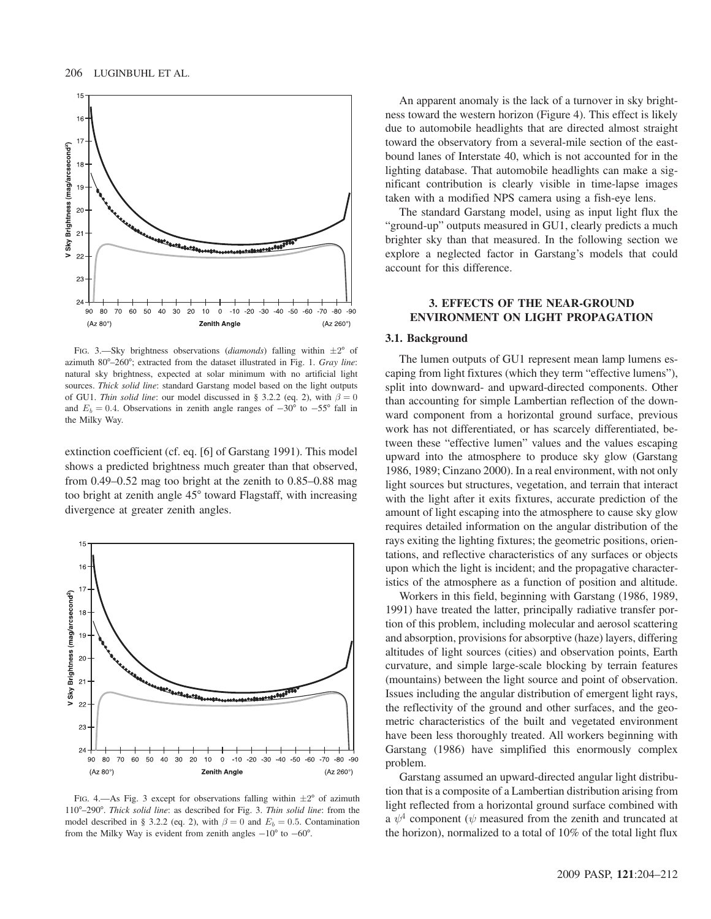

FIG. 3.—Sky brightness observations (diamonds) falling within  $\pm 2^{\circ}$  of azimuth 80°–260°; extracted from the dataset illustrated in Fig. 1. Gray line: natural sky brightness, expected at solar minimum with no artificial light sources. Thick solid line: standard Garstang model based on the light outputs of GU1. Thin solid line: our model discussed in § 3.2.2 (eq. 2), with  $\beta = 0$ and  $E_b = 0.4$ . Observations in zenith angle ranges of  $-30^{\circ}$  to  $-55^{\circ}$  fall in the Milky Way.

extinction coefficient (cf. eq. [6] of Garstang 1991). This model shows a predicted brightness much greater than that observed, from 0.49–0.52 mag too bright at the zenith to 0.85–0.88 mag too bright at zenith angle 45° toward Flagstaff, with increasing divergence at greater zenith angles.



FIG. 4.—As Fig. 3 except for observations falling within  $\pm 2^{\circ}$  of azimuth 110°–290°. Thick solid line: as described for Fig. 3. Thin solid line: from the model described in § 3.2.2 (eq. 2), with  $\beta = 0$  and  $E_b = 0.5$ . Contamination from the Milky Way is evident from zenith angles  $-10^{\circ}$  to  $-60^{\circ}$ .

An apparent anomaly is the lack of a turnover in sky brightness toward the western horizon (Figure 4). This effect is likely due to automobile headlights that are directed almost straight toward the observatory from a several-mile section of the eastbound lanes of Interstate 40, which is not accounted for in the lighting database. That automobile headlights can make a significant contribution is clearly visible in time-lapse images taken with a modified NPS camera using a fish-eye lens.

The standard Garstang model, using as input light flux the "ground-up" outputs measured in GU1, clearly predicts a much brighter sky than that measured. In the following section we explore a neglected factor in Garstang's models that could account for this difference.

### 3. EFFECTS OF THE NEAR-GROUND ENVIRONMENT ON LIGHT PROPAGATION

#### 3.1. Background

The lumen outputs of GU1 represent mean lamp lumens escaping from light fixtures (which they term "effective lumens"), split into downward- and upward-directed components. Other than accounting for simple Lambertian reflection of the downward component from a horizontal ground surface, previous work has not differentiated, or has scarcely differentiated, between these "effective lumen" values and the values escaping upward into the atmosphere to produce sky glow (Garstang 1986, 1989; Cinzano 2000). In a real environment, with not only light sources but structures, vegetation, and terrain that interact with the light after it exits fixtures, accurate prediction of the amount of light escaping into the atmosphere to cause sky glow requires detailed information on the angular distribution of the rays exiting the lighting fixtures; the geometric positions, orientations, and reflective characteristics of any surfaces or objects upon which the light is incident; and the propagative characteristics of the atmosphere as a function of position and altitude.

Workers in this field, beginning with Garstang (1986, 1989, 1991) have treated the latter, principally radiative transfer portion of this problem, including molecular and aerosol scattering and absorption, provisions for absorptive (haze) layers, differing altitudes of light sources (cities) and observation points, Earth curvature, and simple large-scale blocking by terrain features (mountains) between the light source and point of observation. Issues including the angular distribution of emergent light rays, the reflectivity of the ground and other surfaces, and the geometric characteristics of the built and vegetated environment have been less thoroughly treated. All workers beginning with Garstang (1986) have simplified this enormously complex problem.

Garstang assumed an upward-directed angular light distribution that is a composite of a Lambertian distribution arising from light reflected from a horizontal ground surface combined with a  $\psi^4$  component ( $\psi$  measured from the zenith and truncated at the horizon), normalized to a total of 10% of the total light flux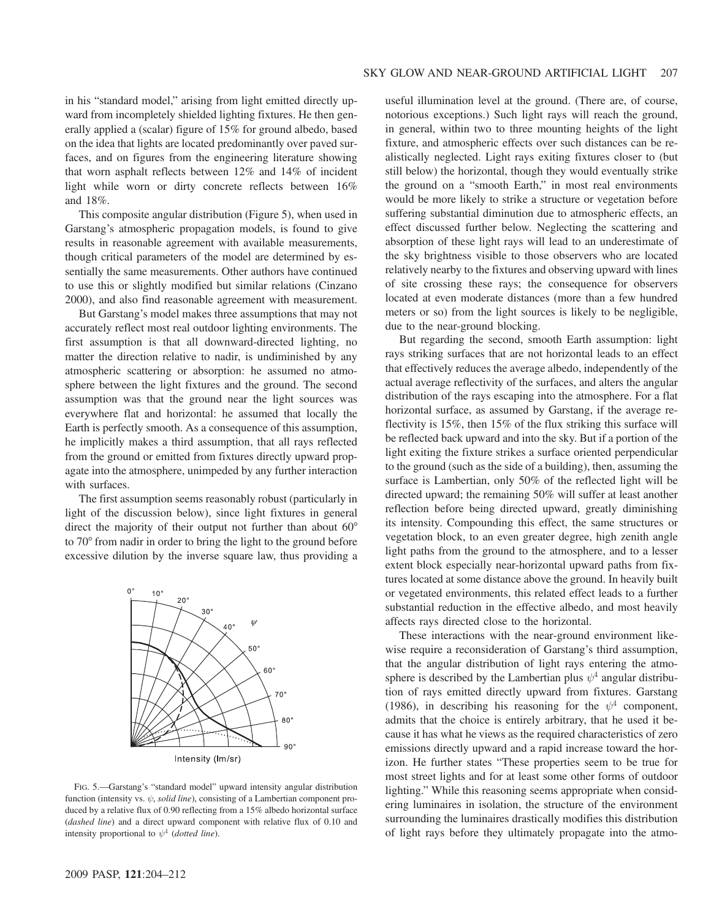in his "standard model," arising from light emitted directly upward from incompletely shielded lighting fixtures. He then generally applied a (scalar) figure of 15% for ground albedo, based on the idea that lights are located predominantly over paved surfaces, and on figures from the engineering literature showing that worn asphalt reflects between 12% and 14% of incident light while worn or dirty concrete reflects between 16% and 18%.

This composite angular distribution (Figure 5), when used in Garstang's atmospheric propagation models, is found to give results in reasonable agreement with available measurements, though critical parameters of the model are determined by essentially the same measurements. Other authors have continued to use this or slightly modified but similar relations (Cinzano 2000), and also find reasonable agreement with measurement.

But Garstang's model makes three assumptions that may not accurately reflect most real outdoor lighting environments. The first assumption is that all downward-directed lighting, no matter the direction relative to nadir, is undiminished by any atmospheric scattering or absorption: he assumed no atmosphere between the light fixtures and the ground. The second assumption was that the ground near the light sources was everywhere flat and horizontal: he assumed that locally the Earth is perfectly smooth. As a consequence of this assumption, he implicitly makes a third assumption, that all rays reflected from the ground or emitted from fixtures directly upward propagate into the atmosphere, unimpeded by any further interaction with surfaces.

The first assumption seems reasonably robust (particularly in light of the discussion below), since light fixtures in general direct the majority of their output not further than about 60<sup>°</sup> to 70° from nadir in order to bring the light to the ground before excessive dilution by the inverse square law, thus providing a



FIG. 5.—Garstang's "standard model" upward intensity angular distribution function (intensity vs.  $\psi$ , solid line), consisting of a Lambertian component produced by a relative flux of 0.90 reflecting from a 15% albedo horizontal surface (dashed line) and a direct upward component with relative flux of 0.10 and intensity proportional to  $\psi^4$  (dotted line).

useful illumination level at the ground. (There are, of course, notorious exceptions.) Such light rays will reach the ground, in general, within two to three mounting heights of the light fixture, and atmospheric effects over such distances can be realistically neglected. Light rays exiting fixtures closer to (but still below) the horizontal, though they would eventually strike the ground on a "smooth Earth," in most real environments would be more likely to strike a structure or vegetation before suffering substantial diminution due to atmospheric effects, an effect discussed further below. Neglecting the scattering and absorption of these light rays will lead to an underestimate of the sky brightness visible to those observers who are located relatively nearby to the fixtures and observing upward with lines of site crossing these rays; the consequence for observers located at even moderate distances (more than a few hundred meters or so) from the light sources is likely to be negligible, due to the near-ground blocking.

But regarding the second, smooth Earth assumption: light rays striking surfaces that are not horizontal leads to an effect that effectively reduces the average albedo, independently of the actual average reflectivity of the surfaces, and alters the angular distribution of the rays escaping into the atmosphere. For a flat horizontal surface, as assumed by Garstang, if the average reflectivity is 15%, then 15% of the flux striking this surface will be reflected back upward and into the sky. But if a portion of the light exiting the fixture strikes a surface oriented perpendicular to the ground (such as the side of a building), then, assuming the surface is Lambertian, only 50% of the reflected light will be directed upward; the remaining 50% will suffer at least another reflection before being directed upward, greatly diminishing its intensity. Compounding this effect, the same structures or vegetation block, to an even greater degree, high zenith angle light paths from the ground to the atmosphere, and to a lesser extent block especially near-horizontal upward paths from fixtures located at some distance above the ground. In heavily built or vegetated environments, this related effect leads to a further substantial reduction in the effective albedo, and most heavily affects rays directed close to the horizontal.

These interactions with the near-ground environment likewise require a reconsideration of Garstang's third assumption, that the angular distribution of light rays entering the atmosphere is described by the Lambertian plus  $\psi^4$  angular distribution of rays emitted directly upward from fixtures. Garstang (1986), in describing his reasoning for the  $\psi^4$  component, admits that the choice is entirely arbitrary, that he used it because it has what he views as the required characteristics of zero emissions directly upward and a rapid increase toward the horizon. He further states "These properties seem to be true for most street lights and for at least some other forms of outdoor lighting." While this reasoning seems appropriate when considering luminaires in isolation, the structure of the environment surrounding the luminaires drastically modifies this distribution of light rays before they ultimately propagate into the atmo-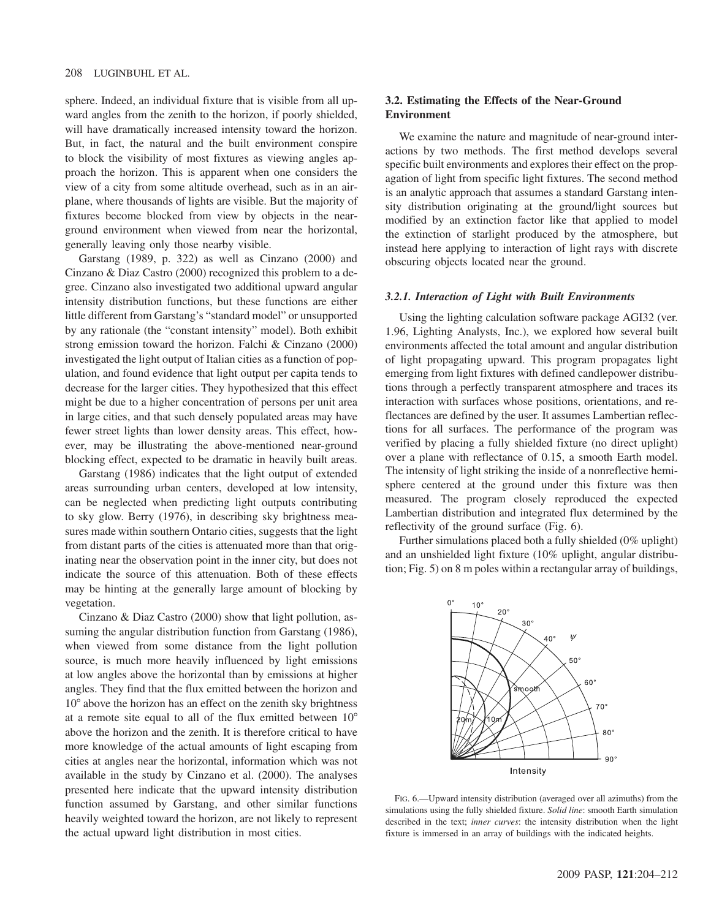sphere. Indeed, an individual fixture that is visible from all upward angles from the zenith to the horizon, if poorly shielded, will have dramatically increased intensity toward the horizon. But, in fact, the natural and the built environment conspire to block the visibility of most fixtures as viewing angles approach the horizon. This is apparent when one considers the view of a city from some altitude overhead, such as in an airplane, where thousands of lights are visible. But the majority of fixtures become blocked from view by objects in the nearground environment when viewed from near the horizontal, generally leaving only those nearby visible.

Garstang (1989, p. 322) as well as Cinzano (2000) and Cinzano & Diaz Castro (2000) recognized this problem to a degree. Cinzano also investigated two additional upward angular intensity distribution functions, but these functions are either little different from Garstang's "standard model" or unsupported by any rationale (the "constant intensity" model). Both exhibit strong emission toward the horizon. Falchi & Cinzano (2000) investigated the light output of Italian cities as a function of population, and found evidence that light output per capita tends to decrease for the larger cities. They hypothesized that this effect might be due to a higher concentration of persons per unit area in large cities, and that such densely populated areas may have fewer street lights than lower density areas. This effect, however, may be illustrating the above-mentioned near-ground blocking effect, expected to be dramatic in heavily built areas.

Garstang (1986) indicates that the light output of extended areas surrounding urban centers, developed at low intensity, can be neglected when predicting light outputs contributing to sky glow. Berry (1976), in describing sky brightness measures made within southern Ontario cities, suggests that the light from distant parts of the cities is attenuated more than that originating near the observation point in the inner city, but does not indicate the source of this attenuation. Both of these effects may be hinting at the generally large amount of blocking by vegetation.

Cinzano & Diaz Castro (2000) show that light pollution, assuming the angular distribution function from Garstang (1986), when viewed from some distance from the light pollution source, is much more heavily influenced by light emissions at low angles above the horizontal than by emissions at higher angles. They find that the flux emitted between the horizon and 10° above the horizon has an effect on the zenith sky brightness at a remote site equal to all of the flux emitted between 10° above the horizon and the zenith. It is therefore critical to have more knowledge of the actual amounts of light escaping from cities at angles near the horizontal, information which was not available in the study by Cinzano et al. (2000). The analyses presented here indicate that the upward intensity distribution function assumed by Garstang, and other similar functions heavily weighted toward the horizon, are not likely to represent the actual upward light distribution in most cities.

# 3.2. Estimating the Effects of the Near-Ground Environment

We examine the nature and magnitude of near-ground interactions by two methods. The first method develops several specific built environments and explores their effect on the propagation of light from specific light fixtures. The second method is an analytic approach that assumes a standard Garstang intensity distribution originating at the ground/light sources but modified by an extinction factor like that applied to model the extinction of starlight produced by the atmosphere, but instead here applying to interaction of light rays with discrete obscuring objects located near the ground.

#### 3.2.1. Interaction of Light with Built Environments

Using the lighting calculation software package AGI32 (ver. 1.96, Lighting Analysts, Inc.), we explored how several built environments affected the total amount and angular distribution of light propagating upward. This program propagates light emerging from light fixtures with defined candlepower distributions through a perfectly transparent atmosphere and traces its interaction with surfaces whose positions, orientations, and reflectances are defined by the user. It assumes Lambertian reflections for all surfaces. The performance of the program was verified by placing a fully shielded fixture (no direct uplight) over a plane with reflectance of 0.15, a smooth Earth model. The intensity of light striking the inside of a nonreflective hemisphere centered at the ground under this fixture was then measured. The program closely reproduced the expected Lambertian distribution and integrated flux determined by the reflectivity of the ground surface (Fig. 6).

Further simulations placed both a fully shielded (0% uplight) and an unshielded light fixture (10% uplight, angular distribution; Fig. 5) on 8 m poles within a rectangular array of buildings,



FIG. 6.—Upward intensity distribution (averaged over all azimuths) from the simulations using the fully shielded fixture. Solid line: smooth Earth simulation described in the text; inner curves: the intensity distribution when the light fixture is immersed in an array of buildings with the indicated heights.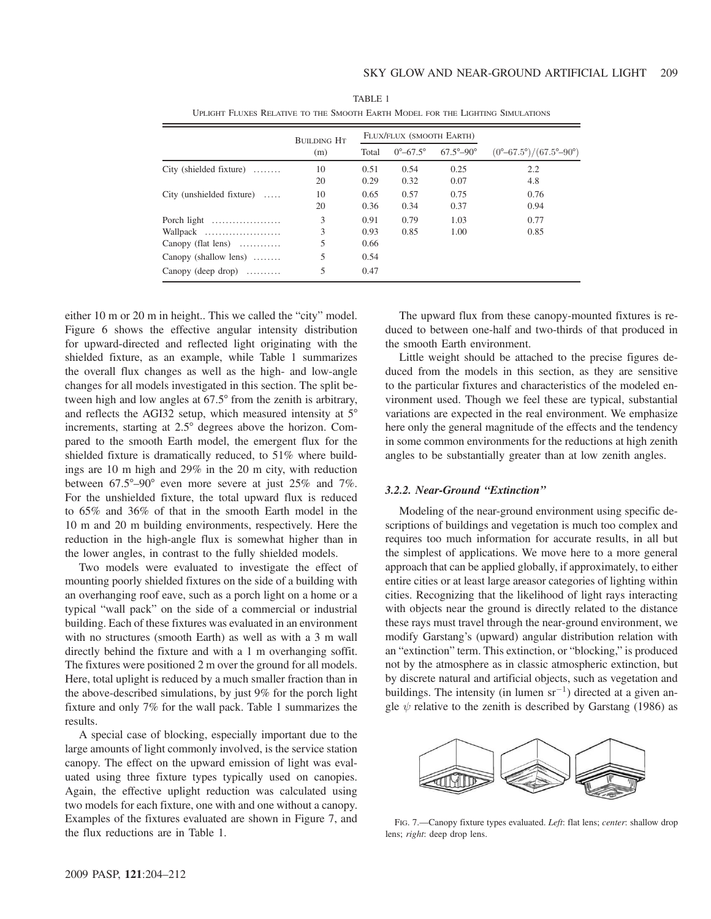|                                           | <b>BUILDING HT</b> | FLUX/FLUX (SMOOTH EARTH) |                            |                             |                                                      |
|-------------------------------------------|--------------------|--------------------------|----------------------------|-----------------------------|------------------------------------------------------|
|                                           | (m)                | Total                    | $0^{\circ} - 67.5^{\circ}$ | $67.5^{\circ} - 90^{\circ}$ | $(0^{\circ}-67.5^{\circ})/(67.5^{\circ}-90^{\circ})$ |
| City (shielded fixture) $\dots$           | 10                 | 0.51                     | 0.54                       | 0.25                        | 2.2                                                  |
|                                           | 20                 | 0.29                     | 0.32                       | 0.07                        | 4.8                                                  |
| City (unshielded fixture) $\dots$         | 10                 | 0.65                     | 0.57                       | 0.75                        | 0.76                                                 |
|                                           | 20                 | 0.36                     | 0.34                       | 0.37                        | 0.94                                                 |
| Porch light                               | 3                  | 0.91                     | 0.79                       | 1.03                        | 0.77                                                 |
| Wallpack                                  | 3                  | 0.93                     | 0.85                       | 1.00                        | 0.85                                                 |
| Canopy (flat lens) $\dots\dots\dots\dots$ |                    | 0.66                     |                            |                             |                                                      |
| Canopy (shallow lens) $\dots\dots$        | 5                  | 0.54                     |                            |                             |                                                      |
| Canopy (deep drop) $\dots\dots\dots$      | 5                  | 0.47                     |                            |                             |                                                      |

TABLE 1 UPLIGHT FLUXES RELATIVE TO THE SMOOTH EARTH MODEL FOR THE LIGHTING SIMULATIONS

either 10 m or 20 m in height.. This we called the "city" model. Figure 6 shows the effective angular intensity distribution for upward-directed and reflected light originating with the shielded fixture, as an example, while Table 1 summarizes the overall flux changes as well as the high- and low-angle changes for all models investigated in this section. The split between high and low angles at 67.5° from the zenith is arbitrary, and reflects the AGI32 setup, which measured intensity at 5° increments, starting at 2.5° degrees above the horizon. Compared to the smooth Earth model, the emergent flux for the shielded fixture is dramatically reduced, to 51% where buildings are 10 m high and 29% in the 20 m city, with reduction between 67.5°–90° even more severe at just 25% and 7%. For the unshielded fixture, the total upward flux is reduced to 65% and 36% of that in the smooth Earth model in the 10 m and 20 m building environments, respectively. Here the reduction in the high-angle flux is somewhat higher than in the lower angles, in contrast to the fully shielded models.

Two models were evaluated to investigate the effect of mounting poorly shielded fixtures on the side of a building with an overhanging roof eave, such as a porch light on a home or a typical "wall pack" on the side of a commercial or industrial building. Each of these fixtures was evaluated in an environment with no structures (smooth Earth) as well as with a 3 m wall directly behind the fixture and with a 1 m overhanging soffit. The fixtures were positioned 2 m over the ground for all models. Here, total uplight is reduced by a much smaller fraction than in the above-described simulations, by just 9% for the porch light fixture and only 7% for the wall pack. Table 1 summarizes the results.

A special case of blocking, especially important due to the large amounts of light commonly involved, is the service station canopy. The effect on the upward emission of light was evaluated using three fixture types typically used on canopies. Again, the effective uplight reduction was calculated using two models for each fixture, one with and one without a canopy. Examples of the fixtures evaluated are shown in Figure 7, and the flux reductions are in Table 1.

The upward flux from these canopy-mounted fixtures is reduced to between one-half and two-thirds of that produced in the smooth Earth environment.

Little weight should be attached to the precise figures deduced from the models in this section, as they are sensitive to the particular fixtures and characteristics of the modeled environment used. Though we feel these are typical, substantial variations are expected in the real environment. We emphasize here only the general magnitude of the effects and the tendency in some common environments for the reductions at high zenith angles to be substantially greater than at low zenith angles.

### 3.2.2. Near-Ground "Extinction"

Modeling of the near-ground environment using specific descriptions of buildings and vegetation is much too complex and requires too much information for accurate results, in all but the simplest of applications. We move here to a more general approach that can be applied globally, if approximately, to either entire cities or at least large areasor categories of lighting within cities. Recognizing that the likelihood of light rays interacting with objects near the ground is directly related to the distance these rays must travel through the near-ground environment, we modify Garstang's (upward) angular distribution relation with an "extinction" term. This extinction, or "blocking," is produced not by the atmosphere as in classic atmospheric extinction, but by discrete natural and artificial objects, such as vegetation and buildings. The intensity (in lumen  $sr^{-1}$ ) directed at a given angle  $\psi$  relative to the zenith is described by Garstang (1986) as



FIG. 7. - Canopy fixture types evaluated. Left: flat lens; center: shallow drop lens; right: deep drop lens.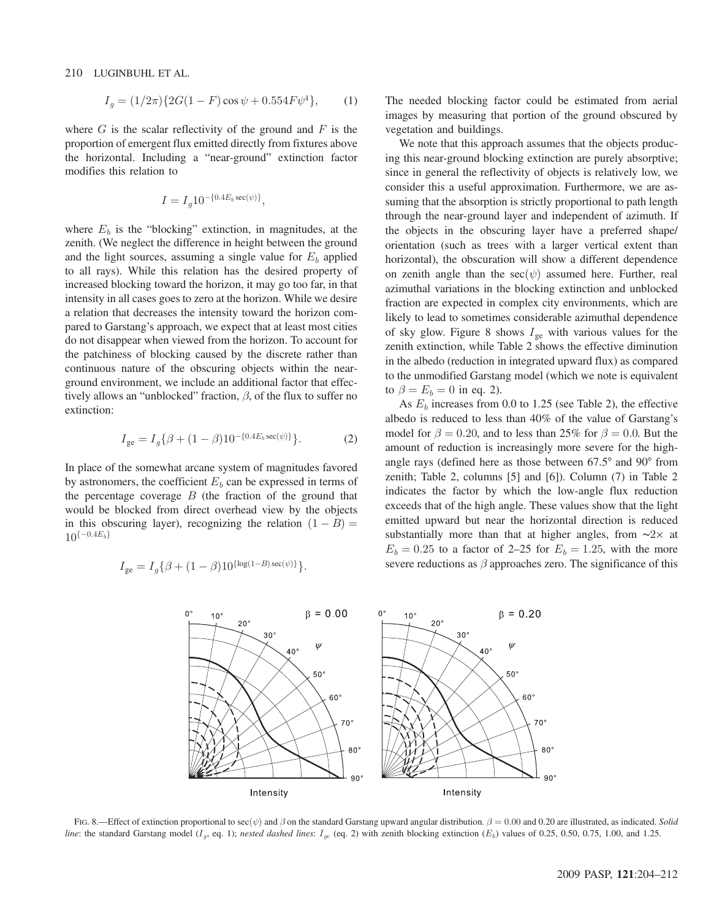210 LUGINBUHL ET AL.

$$
I_g = (1/2\pi)\{2G(1 - F)\cos\psi + 0.554F\psi^4\},\qquad(1)
$$

where  $G$  is the scalar reflectivity of the ground and  $F$  is the proportion of emergent flux emitted directly from fixtures above the horizontal. Including a "near-ground" extinction factor modifies this relation to

$$
I = I_g 10^{-\{0.4E_b \sec(\psi)\}},
$$

where  $E_b$  is the "blocking" extinction, in magnitudes, at the zenith. (We neglect the difference in height between the ground and the light sources, assuming a single value for  $E<sub>b</sub>$  applied to all rays). While this relation has the desired property of increased blocking toward the horizon, it may go too far, in that intensity in all cases goes to zero at the horizon. While we desire a relation that decreases the intensity toward the horizon compared to Garstang's approach, we expect that at least most cities do not disappear when viewed from the horizon. To account for the patchiness of blocking caused by the discrete rather than continuous nature of the obscuring objects within the nearground environment, we include an additional factor that effectively allows an "unblocked" fraction,  $\beta$ , of the flux to suffer no extinction:

$$
I_{ge} = I_g \{ \beta + (1 - \beta) 10^{-\{0.4E_b \sec(\psi)\}} \}.
$$
 (2)

In place of the somewhat arcane system of magnitudes favored by astronomers, the coefficient  $E<sub>b</sub>$  can be expressed in terms of the percentage coverage  $B$  (the fraction of the ground that would be blocked from direct overhead view by the objects in this obscuring layer), recognizing the relation  $(1 - B) = 10(-0.4E_b)$  $10^{\{-0.4E_b\}}$ 

$$
I_{ge} = I_g \{ \beta + (1 - \beta) 10^{\{\log(1 - B) \sec(\psi)\}} \}.
$$

The needed blocking factor could be estimated from aerial images by measuring that portion of the ground obscured by vegetation and buildings.

We note that this approach assumes that the objects producing this near-ground blocking extinction are purely absorptive; since in general the reflectivity of objects is relatively low, we consider this a useful approximation. Furthermore, we are assuming that the absorption is strictly proportional to path length through the near-ground layer and independent of azimuth. If the objects in the obscuring layer have a preferred shape/ orientation (such as trees with a larger vertical extent than horizontal), the obscuration will show a different dependence on zenith angle than the  $sec(\psi)$  assumed here. Further, real azimuthal variations in the blocking extinction and unblocked fraction are expected in complex city environments, which are likely to lead to sometimes considerable azimuthal dependence of sky glow. Figure 8 shows  $I_{ge}$  with various values for the zenith extinction, while Table 2 shows the effective diminution in the albedo (reduction in integrated upward flux) as compared to the unmodified Garstang model (which we note is equivalent to  $\beta = E_b = 0$  in eq. 2).

As  $E<sub>b</sub>$  increases from 0.0 to 1.25 (see Table 2), the effective albedo is reduced to less than 40% of the value of Garstang's model for  $\beta = 0.20$ , and to less than 25% for  $\beta = 0.0$ . But the amount of reduction is increasingly more severe for the highangle rays (defined here as those between 67.5° and 90° from zenith; Table 2, columns [5] and [6]). Column (7) in Table 2 indicates the factor by which the low-angle flux reduction exceeds that of the high angle. These values show that the light emitted upward but near the horizontal direction is reduced substantially more than that at higher angles, from ∼2× at  $E_b = 0.25$  to a factor of 2–25 for  $E_b = 1.25$ , with the more severe reductions as  $\beta$  approaches zero. The significance of this



FIG. 8.—Effect of extinction proportional to sec $(\psi)$  and  $\beta$  on the standard Garstang upward angular distribution.  $\beta = 0.00$  and 0.20 are illustrated, as indicated. Solid line: the standard Garstang model ( $I_g$ , eq. 1); nested dashed lines:  $I_{ge}$  (eq. 2) with zenith blocking extinction ( $E_b$ ) values of 0.25, 0.50, 0.75, 1.00, and 1.25.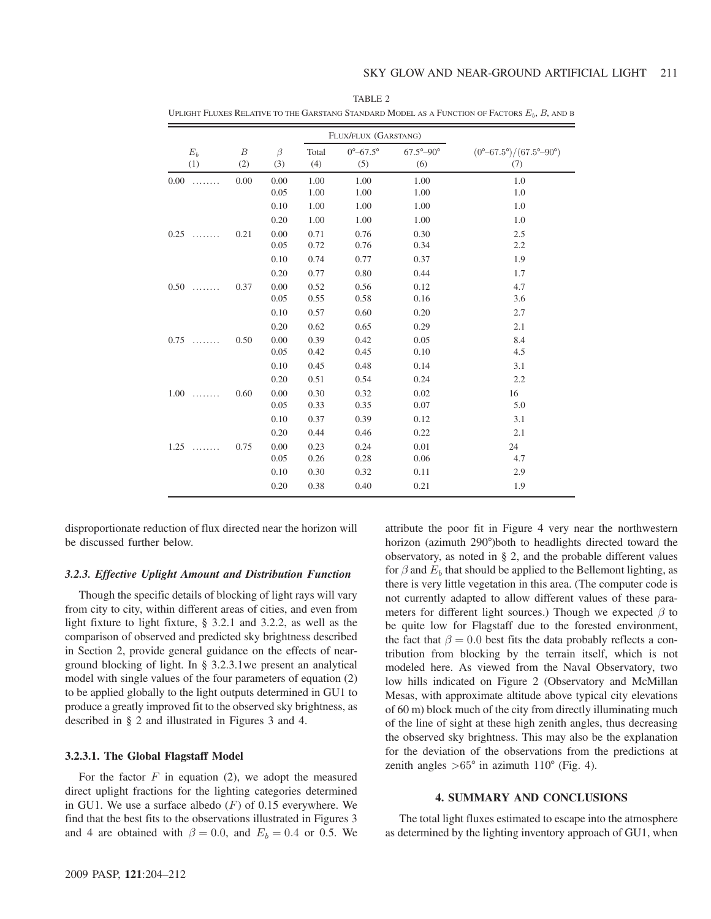|           |                  |         |       | FLUX/FLUX (GARSTANG)       |                             |                                                                      |
|-----------|------------------|---------|-------|----------------------------|-----------------------------|----------------------------------------------------------------------|
| $E_b$     | $\boldsymbol{B}$ | $\beta$ | Total | $0^{\circ} - 67.5^{\circ}$ | $67.5^{\circ} - 90^{\circ}$ | $(0^{\circ}\!\!-\!\!67.5^{\circ})/(67.5^{\circ}\!\!-\!\!90^{\circ})$ |
| (1)       | (2)              | (3)     | (4)   | (5)                        | (6)                         | (7)                                                                  |
| 0.00<br>. | 0.00             | 0.00    | 1.00  | 1.00                       | 1.00                        | 1.0                                                                  |
|           |                  | 0.05    | 1.00  | 1.00                       | 1.00                        | 1.0                                                                  |
|           |                  | 0.10    | 1.00  | 1.00                       | 1.00                        | 1.0                                                                  |
|           |                  | 0.20    | 1.00  | 1.00                       | 1.00                        | 1.0                                                                  |
| 0.25      | 0.21             | 0.00    | 0.71  | 0.76                       | 0.30                        | 2.5                                                                  |
|           |                  | 0.05    | 0.72  | 0.76                       | 0.34                        | 2.2                                                                  |
|           |                  | 0.10    | 0.74  | 0.77                       | 0.37                        | 1.9                                                                  |
|           |                  | 0.20    | 0.77  | 0.80                       | 0.44                        | 1.7                                                                  |
| 0.50      | 0.37             | 0.00    | 0.52  | 0.56                       | 0.12                        | 4.7                                                                  |
|           |                  | 0.05    | 0.55  | 0.58                       | 0.16                        | 3.6                                                                  |
|           |                  | 0.10    | 0.57  | 0.60                       | 0.20                        | 2.7                                                                  |
|           |                  | 0.20    | 0.62  | 0.65                       | 0.29                        | 2.1                                                                  |
| 0.75<br>. | 0.50             | 0.00    | 0.39  | 0.42                       | 0.05                        | 8.4                                                                  |
|           |                  | 0.05    | 0.42  | 0.45                       | 0.10                        | 4.5                                                                  |
|           |                  | 0.10    | 0.45  | 0.48                       | 0.14                        | 3.1                                                                  |
|           |                  | 0.20    | 0.51  | 0.54                       | 0.24                        | 2.2                                                                  |
| 1.00      | 0.60             | 0.00    | 0.30  | 0.32                       | 0.02                        | 16                                                                   |
|           |                  | 0.05    | 0.33  | 0.35                       | 0.07                        | 5.0                                                                  |
|           |                  | 0.10    | 0.37  | 0.39                       | 0.12                        | 3.1                                                                  |
|           |                  | 0.20    | 0.44  | 0.46                       | 0.22                        | 2.1                                                                  |
| 1.25      | 0.75             | 0.00    | 0.23  | 0.24                       | 0.01                        | 24                                                                   |
|           |                  | 0.05    | 0.26  | 0.28                       | 0.06                        | 4.7                                                                  |
|           |                  | 0.10    | 0.30  | 0.32                       | 0.11                        | 2.9                                                                  |
|           |                  | 0.20    | 0.38  | 0.40                       | 0.21                        | 1.9                                                                  |

TABLE 2 UPLIGHT FLUXES RELATIVE TO THE GARSTANG STANDARD MODEL AS A FUNCTION OF FACTORS  $E_b$ ,  $B$ , and b

disproportionate reduction of flux directed near the horizon will be discussed further below.

#### 3.2.3. Effective Uplight Amount and Distribution Function

Though the specific details of blocking of light rays will vary from city to city, within different areas of cities, and even from light fixture to light fixture, § 3.2.1 and 3.2.2, as well as the comparison of observed and predicted sky brightness described in Section 2, provide general guidance on the effects of nearground blocking of light. In § 3.2.3.1we present an analytical model with single values of the four parameters of equation (2) to be applied globally to the light outputs determined in GU1 to produce a greatly improved fit to the observed sky brightness, as described in § 2 and illustrated in Figures 3 and 4.

#### 3.2.3.1. The Global Flagstaff Model

For the factor  $F$  in equation (2), we adopt the measured direct uplight fractions for the lighting categories determined in GU1. We use a surface albedo  $(F)$  of 0.15 everywhere. We find that the best fits to the observations illustrated in Figures 3 and 4 are obtained with  $\beta = 0.0$ , and  $E_b = 0.4$  or 0.5. We

attribute the poor fit in Figure 4 very near the northwestern horizon (azimuth 290°)both to headlights directed toward the observatory, as noted in § 2, and the probable different values for  $\beta$  and  $E_b$  that should be applied to the Bellemont lighting, as there is very little vegetation in this area. (The computer code is not currently adapted to allow different values of these parameters for different light sources.) Though we expected  $\beta$  to be quite low for Flagstaff due to the forested environment, the fact that  $\beta = 0.0$  best fits the data probably reflects a contribution from blocking by the terrain itself, which is not modeled here. As viewed from the Naval Observatory, two low hills indicated on Figure 2 (Observatory and McMillan Mesas, with approximate altitude above typical city elevations of 60 m) block much of the city from directly illuminating much of the line of sight at these high zenith angles, thus decreasing the observed sky brightness. This may also be the explanation for the deviation of the observations from the predictions at zenith angles  $>65^{\circ}$  in azimuth 110 $^{\circ}$  (Fig. 4).

# 4. SUMMARY AND CONCLUSIONS

The total light fluxes estimated to escape into the atmosphere as determined by the lighting inventory approach of GU1, when